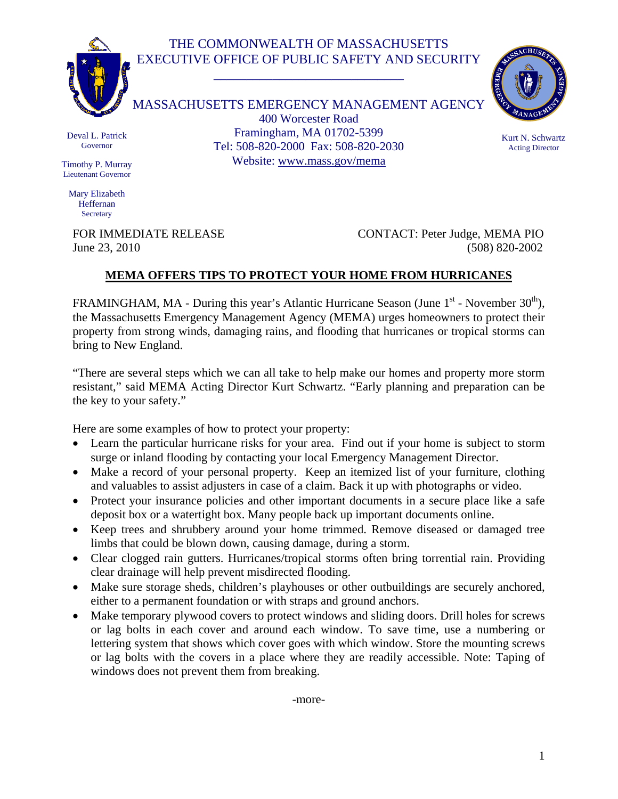## THE COMMONWEALTH OF MASSACHUSETTS EXECUTIVE OFFICE OF PUBLIC SAFETY AND SECURITY

\_\_\_\_\_\_\_\_\_\_\_\_\_\_\_\_\_\_\_\_\_\_\_\_\_\_\_\_\_



MASSACHUSETTS EMERGENCY MANAGEMENT AGENCY 400 Worcester Road Framingham, MA 01702-5399 Tel: 508-820-2000 Fax: 508-820-2030 Website: www.mass.gov/mema



Kurt N. Schwartz Acting Director

Deval L. Patrick Governor

Timothy P. Murray Lieutenant Governor

Mary Elizabeth Heffernan **Secretary** 

FOR IMMEDIATE RELEASE CONTACT: Peter Judge, MEMA PIO June 23, 2010 (508) 820-2002

## **MEMA OFFERS TIPS TO PROTECT YOUR HOME FROM HURRICANES**

FRAMINGHAM, MA - During this year's Atlantic Hurricane Season (June  $1<sup>st</sup>$  - November  $30<sup>th</sup>$ ), the Massachusetts Emergency Management Agency (MEMA) urges homeowners to protect their property from strong winds, damaging rains, and flooding that hurricanes or tropical storms can bring to New England.

"There are several steps which we can all take to help make our homes and property more storm resistant," said MEMA Acting Director Kurt Schwartz. "Early planning and preparation can be the key to your safety."

Here are some examples of how to protect your property:

- Learn the particular hurricane risks for your area. Find out if your home is subject to storm surge or inland flooding by contacting your local Emergency Management Director.
- Make a record of your personal property. Keep an itemized list of your furniture, clothing and valuables to assist adjusters in case of a claim. Back it up with photographs or video.
- Protect your insurance policies and other important documents in a secure place like a safe deposit box or a watertight box. Many people back up important documents online.
- Keep trees and shrubbery around your home trimmed. Remove diseased or damaged tree limbs that could be blown down, causing damage, during a storm.
- Clear clogged rain gutters. Hurricanes/tropical storms often bring torrential rain. Providing clear drainage will help prevent misdirected flooding.
- Make sure storage sheds, children's playhouses or other outbuildings are securely anchored, either to a permanent foundation or with straps and ground anchors.
- Make temporary plywood covers to protect windows and sliding doors. Drill holes for screws or lag bolts in each cover and around each window. To save time, use a numbering or lettering system that shows which cover goes with which window. Store the mounting screws or lag bolts with the covers in a place where they are readily accessible. Note: Taping of windows does not prevent them from breaking.

-more-